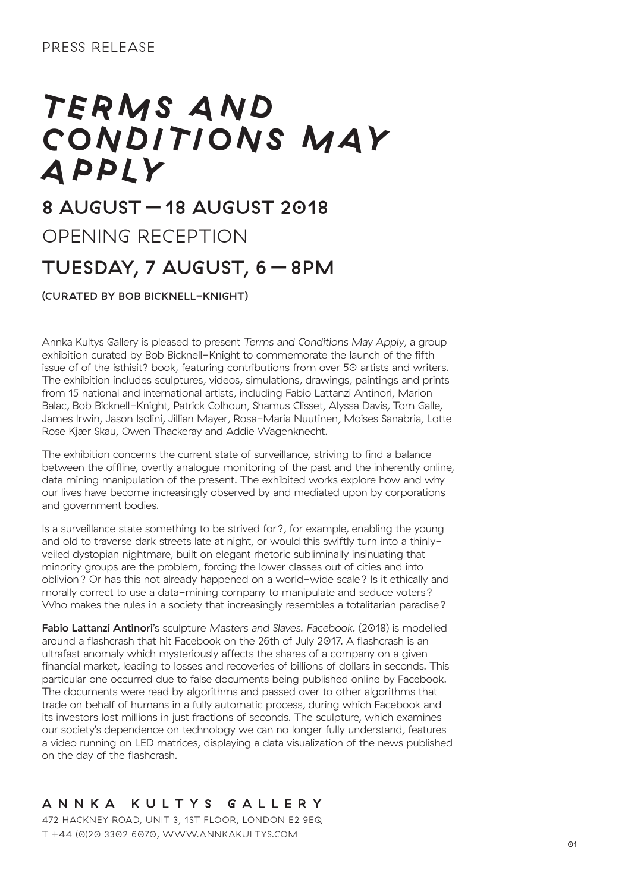# *T E R M S A N D CO N D I T I O N S M AY APPLY*

## 8 AUGUST – 18 AUGUST 2018

OPENING RECEPTION

## TUESDAY, 7 AUGUST, 6 – 8PM

### (CURATED BY BOB BICKNELL-KNIGHT)

Annka Kultys Gallery is pleased to present *Terms and Conditions May Apply*, a group exhibition curated by Bob Bicknell-Knight to commemorate the launch of the fifth issue of of the isthisit? book, featuring contributions from over 50 artists and writers. The exhibition includes sculptures, videos, simulations, drawings, paintings and prints from 15 national and international artists, including Fabio Lattanzi Antinori, Marion Balac, Bob Bicknell-Knight, Patrick Colhoun, Shamus Clisset, Alyssa Davis, Tom Galle, James Irwin, Jason Isolini, Jillian Mayer, Rosa-Maria Nuutinen, Moises Sanabria, Lotte Rose Kjær Skau, Owen Thackeray and Addie Wagenknecht.

The exhibition concerns the current state of surveillance, striving to find a balance between the offline, overtly analogue monitoring of the past and the inherently online, data mining manipulation of the present. The exhibited works explore how and why our lives have become increasingly observed by and mediated upon by corporations and government bodies.

Is a surveillance state something to be strived for?, for example, enabling the young and old to traverse dark streets late at night, or would this swiftly turn into a thinlyveiled dystopian nightmare, built on elegant rhetoric subliminally insinuating that minority groups are the problem, forcing the lower classes out of cities and into oblivion? Or has this not already happened on a world-wide scale? Is it ethically and morally correct to use a data-mining company to manipulate and seduce voters? Who makes the rules in a society that increasingly resembles a totalitarian paradise?

Fabio Lattanzi Antinori's sculpture *Masters and Slaves. Facebook.* (2018) is modelled around a flashcrash that hit Facebook on the 26th of July 2017. A flashcrash is an ultrafast anomaly which mysteriously affects the shares of a company on a given financial market, leading to losses and recoveries of billions of dollars in seconds. This particular one occurred due to false documents being published online by Facebook. The documents were read by algorithms and passed over to other algorithms that trade on behalf of humans in a fully automatic process, during which Facebook and its investors lost millions in just fractions of seconds. The sculpture, which examines our society's dependence on technology we can no longer fully understand, features a video running on LED matrices, displaying a data visualization of the news published on the day of the flashcrash.

### ANNKA KULTYS GALLERY

472 HACKNEY ROAD, UNIT 3, 1ST FLOOR, LONDON E2 9EQ T +44 (0)20 3302 6070, WWW.ANNKAKULTYS.COM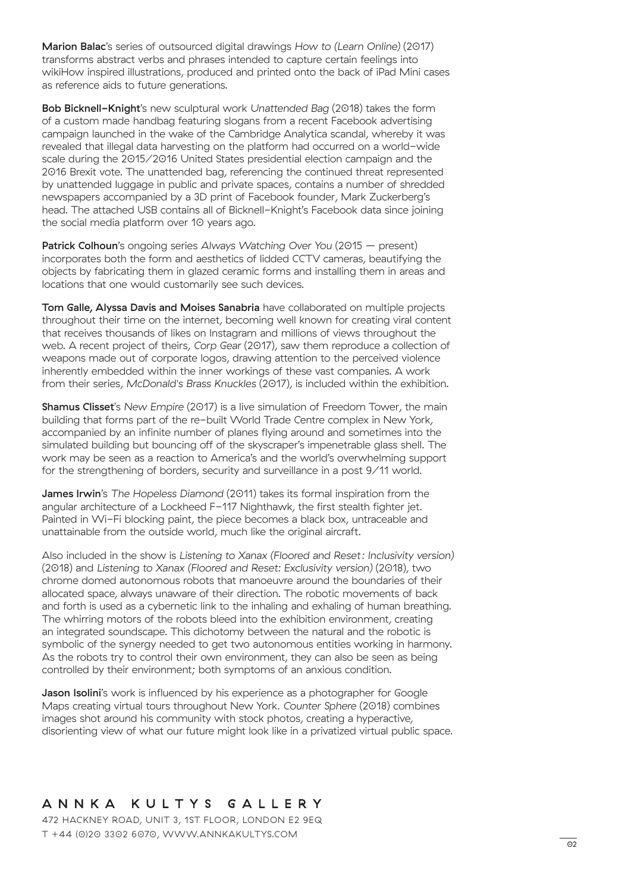Marion Balac's series of outsourced digital drawings *How to (Learn Online)* (2017) transforms abstract verbs and phrases intended to capture certain feelings into wikiHow inspired illustrations, produced and printed onto the back of iPad Mini cases as reference aids to future generations.

Bob Bicknell-Knight's new sculptural work *Unattended Bag* (2018) takes the form of a custom made handbag featuring slogans from a recent Facebook advertising campaign launched in the wake of the Cambridge Analytica scandal, whereby it was revealed that illegal data harvesting on the platform had occurred on a world-wide scale during the 2015/2016 United States presidential election campaign and the 2016 Brexit vote. The unattended bag, referencing the continued threat represented by unattended luggage in public and private spaces, contains a number of shredded newspapers accompanied by a 3D print of Facebook founder, Mark Zuckerberg's head. The attached USB contains all of Bicknell-Knight's Facebook data since joining the social media platform over 10 years ago.

Patrick Colhoun's ongoing series *Always Watching Over You* (2015 – present) incorporates both the form and aesthetics of lidded CCTV cameras, beautifying the objects by fabricating them in glazed ceramic forms and installing them in areas and locations that one would customarily see such devices.

Tom Galle, Alyssa Davis and Moises Sanabria have collaborated on multiple projects throughout their time on the internet, becoming well known for creating viral content that receives thousands of likes on Instagram and millions of views throughout the web. A recent project of theirs, *Corp Gear* (2017), saw them reproduce a collection of weapons made out of corporate logos, drawing attention to the perceived violence inherently embedded within the inner workings of these vast companies. A work from their series, *McDonald's Brass Knuckles* (2017), is included within the exhibition.

Shamus Clisset's *New Empire* (2017) is a live simulation of Freedom Tower, the main building that forms part of the re-built World Trade Centre complex in New York, accompanied by an infinite number of planes flying around and sometimes into the simulated building but bouncing off of the skyscraper's impenetrable glass shell. The work may be seen as a reaction to America's and the world's overwhelming support for the strengthening of borders, security and surveillance in a post 9/11 world.

James Irwin's *The Hopeless Diamond* (2011) takes its formal inspiration from the angular architecture of a Lockheed F-117 Nighthawk, the first stealth fighter jet. Painted in Wi-Fi blocking paint, the piece becomes a black box, untraceable and unattainable from the outside world, much like the original aircraft.

Also included in the show is *Listening to Xanax (Floored and Reset: Inclusivity version)* (2018) and *Listening to Xanax (Floored and Reset: Exclusivity version)* (2018), two chrome domed autonomous robots that manoeuvre around the boundaries of their allocated space, always unaware of their direction. The robotic movements of back and forth is used as a cybernetic link to the inhaling and exhaling of human breathing. The whirring motors of the robots bleed into the exhibition environment, creating an integrated soundscape. This dichotomy between the natural and the robotic is symbolic of the synergy needed to get two autonomous entities working in harmony. As the robots try to control their own environment, they can also be seen as being controlled by their environment; both symptoms of an anxious condition.

**Jason Isolini**'s work is influenced by his experience as a photographer for Google Maps creating virtual tours throughout New York. *Counter Sphere* (2018) combines images shot around his community with stock photos, creating a hyperactive, disorienting view of what our future might look like in a privatized virtual public space.

#### ANNKA KULTYS GALLERY

472 HACKNEY ROAD, UNIT 3, 1ST FLOOR, LONDON E2 9EQ T +44 (0)20 3302 6070, WWW.ANNKAKULTYS.COM